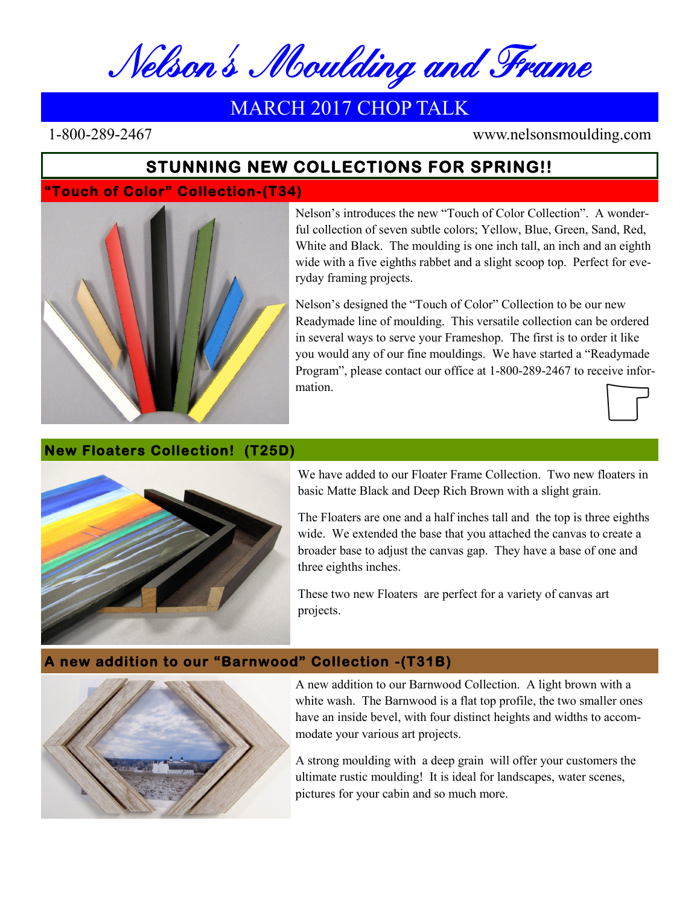Nelson's Moulding and Frame

# MARCH 2017 CHOP TALK

1-800-289-2467 www.nelsonsmoulding.com

# **STUNNING NEW COLLECTIONS FOR SPRING!!**

### **"Touch of Color" Collection-(T34)**



Nelson's introduces the new "Touch of Color Collection". A wonderful collection of seven subtle colors; Yellow, Blue, Green, Sand, Red, White and Black. The moulding is one inch tall, an inch and an eighth wide with a five eighths rabbet and a slight scoop top. Perfect for everyday framing projects.

Nelson's designed the "Touch of Color" Collection to be our new Readymade line of moulding. This versatile collection can be ordered in several ways to serve your Frameshop. The first is to order it like you would any of our fine mouldings. We have started a "Readymade Program", please contact our office at 1-800-289-2467 to receive information.



#### **New Floaters Collection! (T25D)**



We have added to our Floater Frame Collection. Two new floaters in basic Matte Black and Deep Rich Brown with a slight grain.

The Floaters are one and a half inches tall and the top is three eighths wide. We extended the base that you attached the canvas to create a broader base to adjust the canvas gap. They have a base of one and three eighths inches.

These two new Floaters are perfect for a variety of canvas art projects.

## **A new addition to our "Barnwood" Collection -(T31B)**



A new addition to our Barnwood Collection. A light brown with a white wash. The Barnwood is a flat top profile, the two smaller ones have an inside bevel, with four distinct heights and widths to accommodate your various art projects.

A strong moulding with a deep grain will offer your customers the ultimate rustic moulding! It is ideal for landscapes, water scenes, pictures for your cabin and so much more.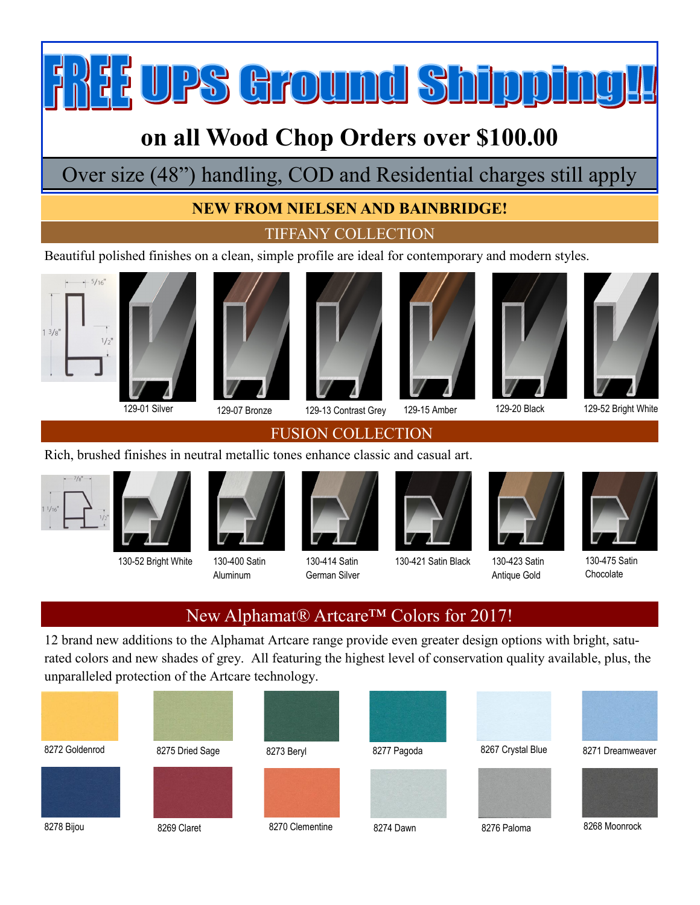**IPS Ground Shippin** 

# **on all Wood Chop Orders over \$100.00**

Over size (48") handling, COD and Residential charges still apply

## **NEW FROM NIELSEN AND BAINBRIDGE!**

TIFFANY COLLECTION

Beautiful polished finishes on a clean, simple profile are ideal for contemporary and modern styles.





130-52 Bright White 130-400 Satin

Aluminum



129-01 Silver 129-07 Bronze 129-13 Contrast Grey 129-15 Amber 129-20 Black 129-52 Bright White









## FUSION COLLECTION





130-421 Satin Black 130-423 Satin



Antique Gold



130-475 Satin **Chocolate** 

# New Alphamat® Artcare<sup>™</sup> Colors for 2017!

130-414 Satin German Silver

12 brand new additions to the Alphamat Artcare range provide even greater design options with bright, saturated colors and new shades of grey. All featuring the highest level of conservation quality available, plus, the unparalleled protection of the Artcare technology.

| 8272 Goldenrod | 8275 Dried Sage | 8273 Beryl      | 8277 Pagoda | 8267 Crystal Blue | 8271 Dreamweaver |
|----------------|-----------------|-----------------|-------------|-------------------|------------------|
| 8278 Bijou     | 8269 Claret     | 8270 Clementine | 8274 Dawn   | 8276 Paloma       | 8268 Moonrock    |